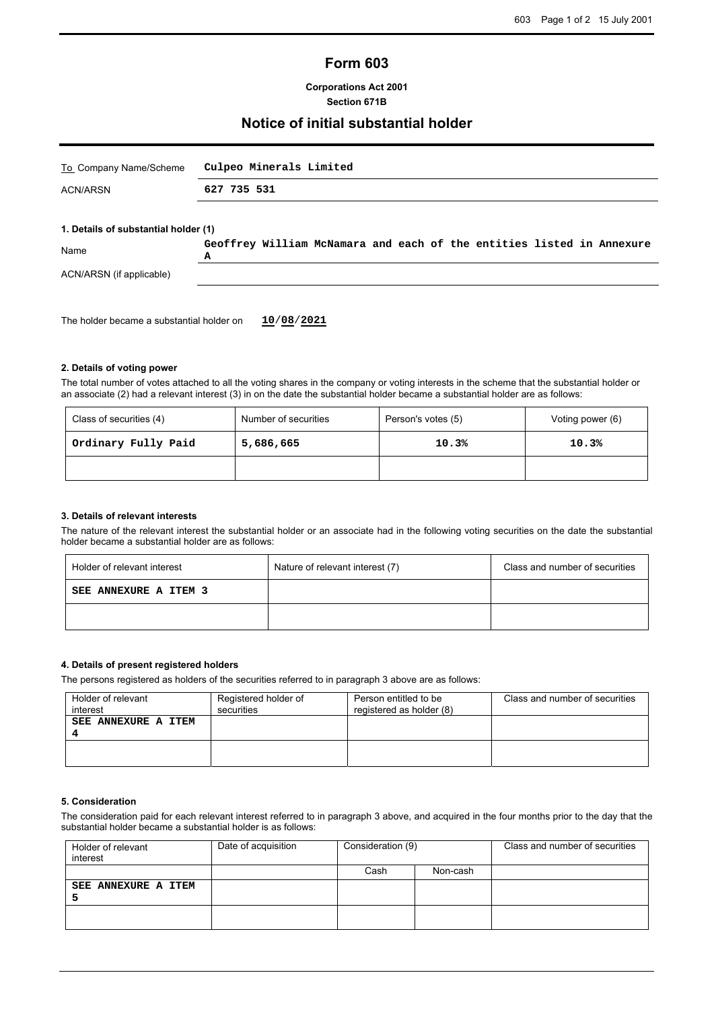# **Form 603**

**Corporations Act 2001 Section 671B**

### **Notice of initial substantial holder**

| To Company Name/Scheme               | Culpeo Minerals Limited                                                    |  |
|--------------------------------------|----------------------------------------------------------------------------|--|
| <b>ACN/ARSN</b>                      | 627 735 531                                                                |  |
| 1. Details of substantial holder (1) |                                                                            |  |
| Name                                 | Geoffrey William McNamara and each of the entities listed in Annexure<br>А |  |
| ACN/ARSN (if applicable)             |                                                                            |  |

The holder became a substantial holder on **10**/**08**/**2021**

#### **2. Details of voting power**

The total number of votes attached to all the voting shares in the company or voting interests in the scheme that the substantial holder or an associate (2) had a relevant interest (3) in on the date the substantial holder became a substantial holder are as follows:

| Class of securities (4) | Number of securities | Person's votes (5) | Voting power (6) |
|-------------------------|----------------------|--------------------|------------------|
| Ordinary Fully Paid     | 5,686,665            | 10.3%              | 10.3%            |
|                         |                      |                    |                  |

#### **3. Details of relevant interests**

The nature of the relevant interest the substantial holder or an associate had in the following voting securities on the date the substantial holder became a substantial holder are as follows:

| Holder of relevant interest | Nature of relevant interest (7) | Class and number of securities |  |
|-----------------------------|---------------------------------|--------------------------------|--|
| SEE ANNEXURE A ITEM 3       |                                 |                                |  |
|                             |                                 |                                |  |

#### **4. Details of present registered holders**

The persons registered as holders of the securities referred to in paragraph 3 above are as follows:

| Holder of relevant<br>interest | Registered holder of<br>securities | Person entitled to be<br>registered as holder (8) | Class and number of securities |
|--------------------------------|------------------------------------|---------------------------------------------------|--------------------------------|
| <b>SEE ANNEXURE A ITEM</b>     |                                    |                                                   |                                |
|                                |                                    |                                                   |                                |

#### **5. Consideration**

The consideration paid for each relevant interest referred to in paragraph 3 above, and acquired in the four months prior to the day that the substantial holder became a substantial holder is as follows:

| Holder of relevant<br>interest | Date of acquisition | Consideration (9) |          | Class and number of securities |
|--------------------------------|---------------------|-------------------|----------|--------------------------------|
|                                |                     | Cash              | Non-cash |                                |
| SEE ANNEXURE A ITEM            |                     |                   |          |                                |
|                                |                     |                   |          |                                |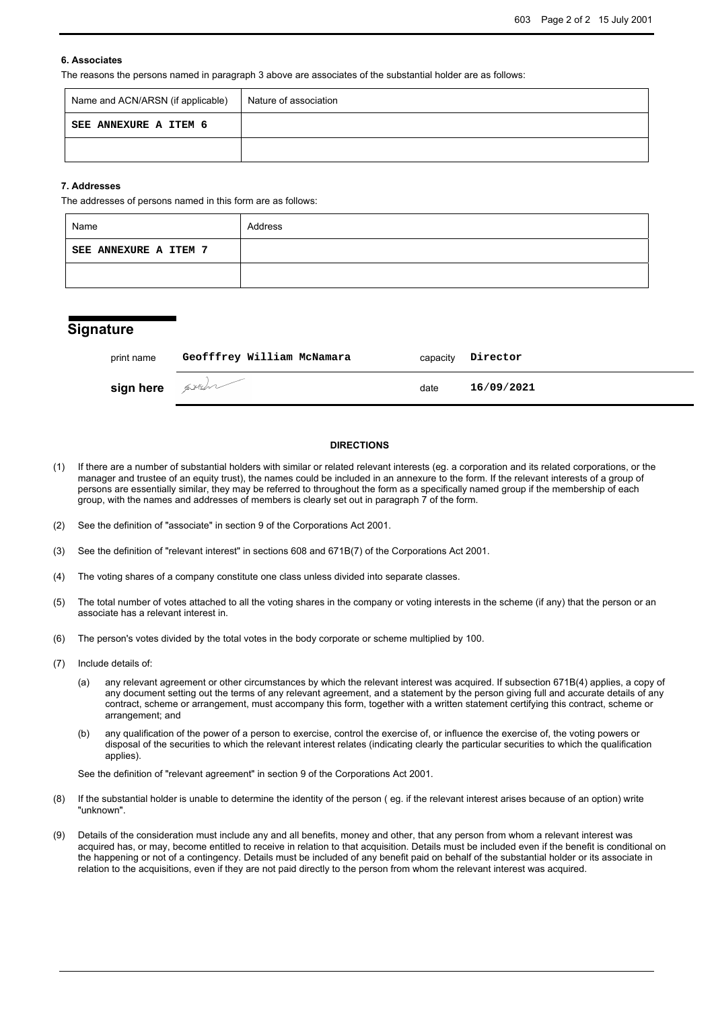### **6. Associates**

The reasons the persons named in paragraph 3 above are associates of the substantial holder are as follows:

| Name and ACN/ARSN (if applicable) | Nature of association |
|-----------------------------------|-----------------------|
| SEE ANNEXURE A ITEM 6             |                       |
|                                   |                       |

#### **7. Addresses**

The addresses of persons named in this form are as follows:

| Name                  | Address |
|-----------------------|---------|
| SEE ANNEXURE A ITEM 7 |         |
|                       |         |

## **Signature**

| print name     | Geofffrey William McNamara |      | capacity <b>Director</b> |
|----------------|----------------------------|------|--------------------------|
| sign here Aven |                            | date | 16/09/2021               |

#### **DIRECTIONS**

- (1) If there are a number of substantial holders with similar or related relevant interests (eg. a corporation and its related corporations, or the manager and trustee of an equity trust), the names could be included in an annexure to the form. If the relevant interests of a group of persons are essentially similar, they may be referred to throughout the form as a specifically named group if the membership of each group, with the names and addresses of members is clearly set out in paragraph 7 of the form.
- (2) See the definition of "associate" in section 9 of the Corporations Act 2001.
- (3) See the definition of "relevant interest" in sections 608 and 671B(7) of the Corporations Act 2001.
- (4) The voting shares of a company constitute one class unless divided into separate classes.
- (5) The total number of votes attached to all the voting shares in the company or voting interests in the scheme (if any) that the person or an associate has a relevant interest in.
- (6) The person's votes divided by the total votes in the body corporate or scheme multiplied by 100.
- (7) Include details of:
	- (a) any relevant agreement or other circumstances by which the relevant interest was acquired. If subsection 671B(4) applies, a copy of any document setting out the terms of any relevant agreement, and a statement by the person giving full and accurate details of any contract, scheme or arrangement, must accompany this form, together with a written statement certifying this contract, scheme or arrangement; and
	- (b) any qualification of the power of a person to exercise, control the exercise of, or influence the exercise of, the voting powers or disposal of the securities to which the relevant interest relates (indicating clearly the particular securities to which the qualification applies).

See the definition of "relevant agreement" in section 9 of the Corporations Act 2001.

- (8) If the substantial holder is unable to determine the identity of the person ( eg. if the relevant interest arises because of an option) write "unknown".
- (9) Details of the consideration must include any and all benefits, money and other, that any person from whom a relevant interest was acquired has, or may, become entitled to receive in relation to that acquisition. Details must be included even if the benefit is conditional on the happening or not of a contingency. Details must be included of any benefit paid on behalf of the substantial holder or its associate in relation to the acquisitions, even if they are not paid directly to the person from whom the relevant interest was acquired.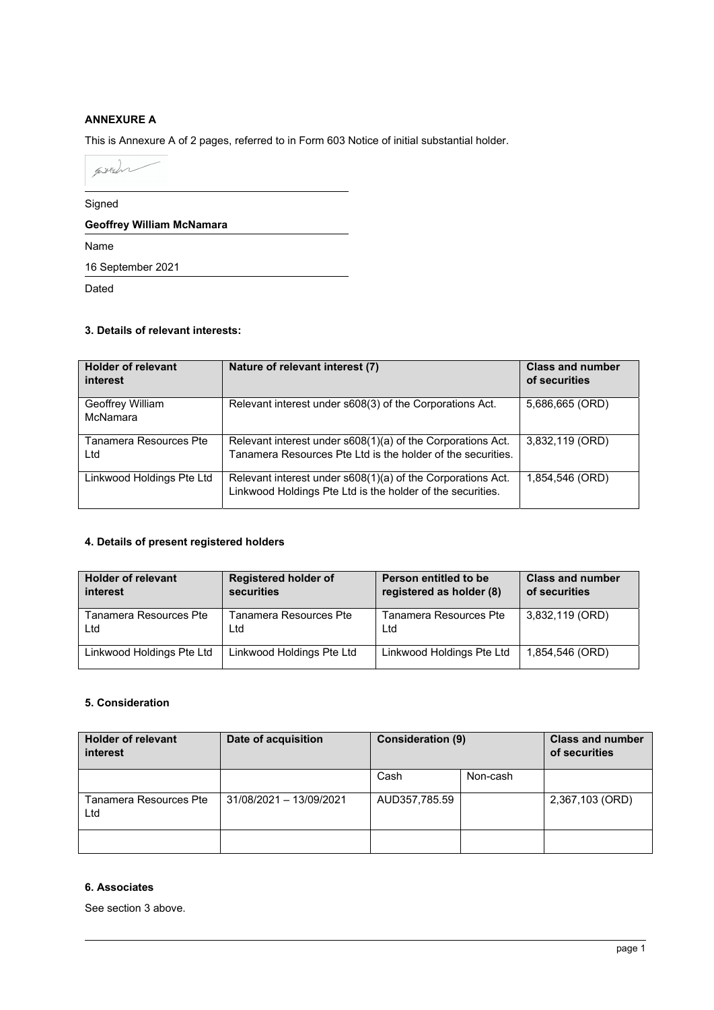## **ANNEXURE A**

This is Annexure A of 2 pages, referred to in Form 603 Notice of initial substantial holder.

proche

Signed

**Geoffrey William McNamara** 

Name

16 September 2021

Dated

## **3. Details of relevant interests:**

| <b>Holder of relevant</b><br>interest | Nature of relevant interest (7)                                                                                            | <b>Class and number</b><br>of securities |
|---------------------------------------|----------------------------------------------------------------------------------------------------------------------------|------------------------------------------|
| Geoffrey William<br>McNamara          | Relevant interest under s608(3) of the Corporations Act.                                                                   | 5,686,665 (ORD)                          |
| Tanamera Resources Pte<br>Ltd         | Relevant interest under s608(1)(a) of the Corporations Act.<br>Tanamera Resources Pte Ltd is the holder of the securities. | 3,832,119 (ORD)                          |
| Linkwood Holdings Pte Ltd             | Relevant interest under s608(1)(a) of the Corporations Act.<br>Linkwood Holdings Pte Ltd is the holder of the securities.  | 1,854,546 (ORD)                          |

## **4. Details of present registered holders**

| <b>Holder of relevant</b> | <b>Registered holder of</b> | Person entitled to be     | <b>Class and number</b> |
|---------------------------|-----------------------------|---------------------------|-------------------------|
| interest                  | securities                  | registered as holder (8)  | of securities           |
| Tanamera Resources Pte    | Tanamera Resources Pte      | Tanamera Resources Pte    | 3,832,119 (ORD)         |
| Ltd                       | Ltd                         | Ltd                       |                         |
| Linkwood Holdings Pte Ltd | Linkwood Holdings Pte Ltd   | Linkwood Holdings Pte Ltd | 1,854,546 (ORD)         |

# **5. Consideration**

| <b>Holder of relevant</b><br>interest | Date of acquisition     | <b>Consideration (9)</b> |          | <b>Class and number</b><br>of securities |
|---------------------------------------|-------------------------|--------------------------|----------|------------------------------------------|
|                                       |                         | Cash                     | Non-cash |                                          |
| Tanamera Resources Pte<br>Ltd         | 31/08/2021 - 13/09/2021 | AUD357,785.59            |          | 2,367,103 (ORD)                          |
|                                       |                         |                          |          |                                          |

# **6. Associates**

See section 3 above.